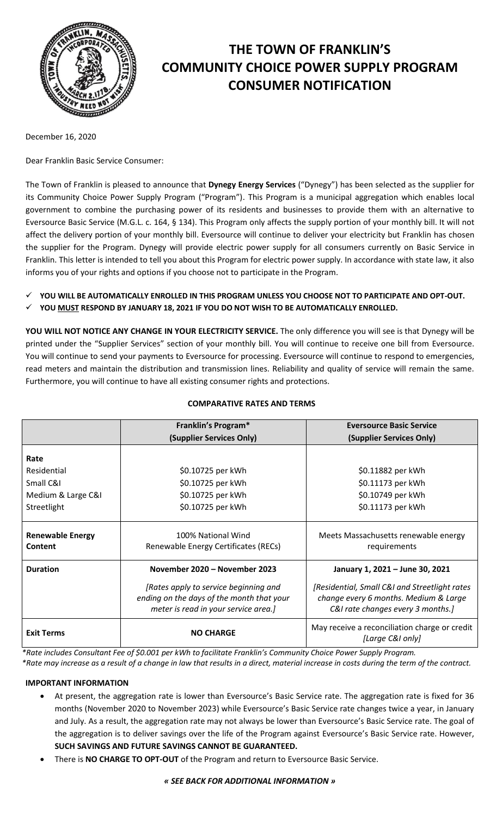

# **THE TOWN OF FRANKLIN'S COMMUNITY CHOICE POWER SUPPLY PROGRAM CONSUMER NOTIFICATION**

December 16, 2020

Dear Franklin Basic Service Consumer:

The Town of Franklin is pleased to announce that **Dynegy Energy Services** ("Dynegy") has been selected as the supplier for its Community Choice Power Supply Program ("Program"). This Program is a municipal aggregation which enables local government to combine the purchasing power of its residents and businesses to provide them with an alternative to Eversource Basic Service (M.G.L. c. 164, § 134). This Program only affects the supply portion of your monthly bill. It will not affect the delivery portion of your monthly bill. Eversource will continue to deliver your electricity but Franklin has chosen the supplier for the Program. Dynegy will provide electric power supply for all consumers currently on Basic Service in Franklin. This letter is intended to tell you about this Program for electric power supply. In accordance with state law, it also informs you of your rights and options if you choose not to participate in the Program.

- **YOU WILL BE AUTOMATICALLY ENROLLED IN THIS PROGRAM UNLESS YOU CHOOSE NOT TO PARTICIPATE AND OPT-OUT.**
- **YOU MUST RESPOND BY JANUARY 18, 2021 IF YOU DO NOT WISH TO BE AUTOMATICALLY ENROLLED.**

**YOU WILL NOT NOTICE ANY CHANGE IN YOUR ELECTRICITY SERVICE.** The only difference you will see is that Dynegy will be printed under the "Supplier Services" section of your monthly bill. You will continue to receive one bill from Eversource. You will continue to send your payments to Eversource for processing. Eversource will continue to respond to emergencies, read meters and maintain the distribution and transmission lines. Reliability and quality of service will remain the same. Furthermore, you will continue to have all existing consumer rights and protections.

|                                    | Franklin's Program*                                                                                                        | <b>Eversource Basic Service</b>                                                                                              |
|------------------------------------|----------------------------------------------------------------------------------------------------------------------------|------------------------------------------------------------------------------------------------------------------------------|
|                                    | (Supplier Services Only)                                                                                                   | (Supplier Services Only)                                                                                                     |
| Rate                               |                                                                                                                            |                                                                                                                              |
| Residential                        | \$0.10725 per kWh                                                                                                          | \$0.11882 per kWh                                                                                                            |
| Small C&I                          | \$0.10725 per kWh                                                                                                          | \$0.11173 per kWh                                                                                                            |
| Medium & Large C&I                 | \$0.10725 per kWh                                                                                                          | \$0.10749 per kWh                                                                                                            |
| Streetlight                        | \$0.10725 per kWh                                                                                                          | \$0.11173 per kWh                                                                                                            |
| <b>Renewable Energy</b><br>Content | 100% National Wind<br>Renewable Energy Certificates (RECs)                                                                 | Meets Massachusetts renewable energy<br>requirements                                                                         |
| <b>Duration</b>                    | November 2020 - November 2023                                                                                              | January 1, 2021 - June 30, 2021                                                                                              |
|                                    | [Rates apply to service beginning and<br>ending on the days of the month that your<br>meter is read in your service area.] | [Residential, Small C&I and Streetlight rates]<br>change every 6 months. Medium & Large<br>C&I rate changes every 3 months.] |
| <b>Exit Terms</b>                  | <b>NO CHARGE</b>                                                                                                           | May receive a reconciliation charge or credit<br>[Large C&I only]                                                            |

## **COMPARATIVE RATES AND TERMS**

*\*Rate includes Consultant Fee of \$0.001 per kWh to facilitate Franklin's Community Choice Power Supply Program. \*Rate may increase as a result of a change in law that results in a direct, material increase in costs during the term of the contract.*

## **IMPORTANT INFORMATION**

- At present, the aggregation rate is lower than Eversource's Basic Service rate. The aggregation rate is fixed for 36 months (November 2020 to November 2023) while Eversource's Basic Service rate changes twice a year, in January and July. As a result, the aggregation rate may not always be lower than Eversource's Basic Service rate. The goal of the aggregation is to deliver savings over the life of the Program against Eversource's Basic Service rate. However, **SUCH SAVINGS AND FUTURE SAVINGS CANNOT BE GUARANTEED.**
- There is **NO CHARGE TO OPT-OUT** of the Program and return to Eversource Basic Service.